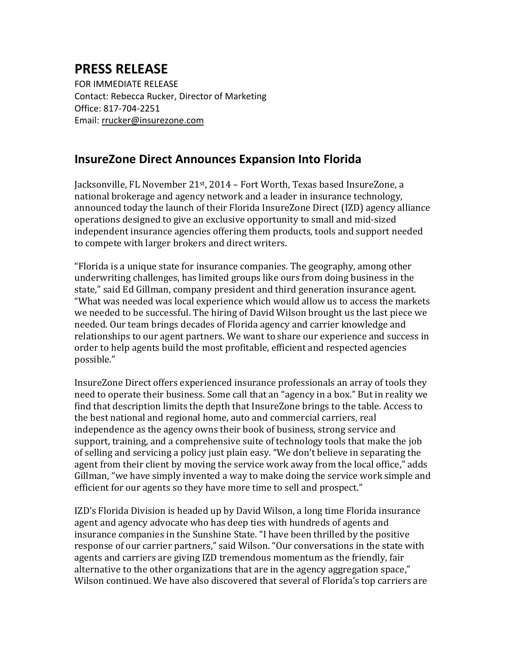## **PRESS RELEASE**

FOR IMMEDIATE RELEASE Contact: Rebecca Rucker, Director of Marketing Office: 817-704-2251 Email: [rrucker@insurezone.com](mailto:rrucker@insurezone.com)

## **InsureZone Direct Announces Expansion Into Florida**

Jacksonville, FL November 21<sup>st</sup>, 2014 – Fort Worth, Texas based InsureZone, a national brokerage and agency network and a leader in insurance technology, announced today the launch of their Florida InsureZone Direct (IZD) agency alliance operations designed to give an exclusive opportunity to small and mid-sized independent insurance agencies offering them products, tools and support needed to compete with larger brokers and direct writers.

"Florida is a unique state for insurance companies. The geography, among other underwriting challenges, has limited groups like ours from doing business in the state," said Ed Gillman, company president and third generation insurance agent. "What was needed was local experience which would allow us to access the markets we needed to be successful. The hiring of David Wilson brought us the last piece we needed. Our team brings decades of Florida agency and carrier knowledge and relationships to our agent partners. We want to share our experience and success in order to help agents build the most profitable, efficient and respected agencies possible."

InsureZone Direct offers experienced insurance professionals an array of tools they need to operate their business. Some call that an "agency in a box." But in reality we find that description limits the depth that InsureZone brings to the table. Access to the best national and regional home, auto and commercial carriers, real independence as the agency owns their book of business, strong service and support, training, and a comprehensive suite of technology tools that make the job of selling and servicing a policy just plain easy. "We don't believe in separating the agent from their client by moving the service work away from the local office," adds Gillman, "we have simply invented a way to make doing the service work simple and efficient for our agents so they have more time to sell and prospect."

IZD's Florida Division is headed up by David Wilson, a long time Florida insurance agent and agency advocate who has deep ties with hundreds of agents and insurance companies in the Sunshine State. "I have been thrilled by the positive response of our carrier partners," said Wilson. "Our conversations in the state with agents and carriers are giving IZD tremendous momentum as the friendly, fair alternative to the other organizations that are in the agency aggregation space," Wilson continued. We have also discovered that several of Florida's top carriers are